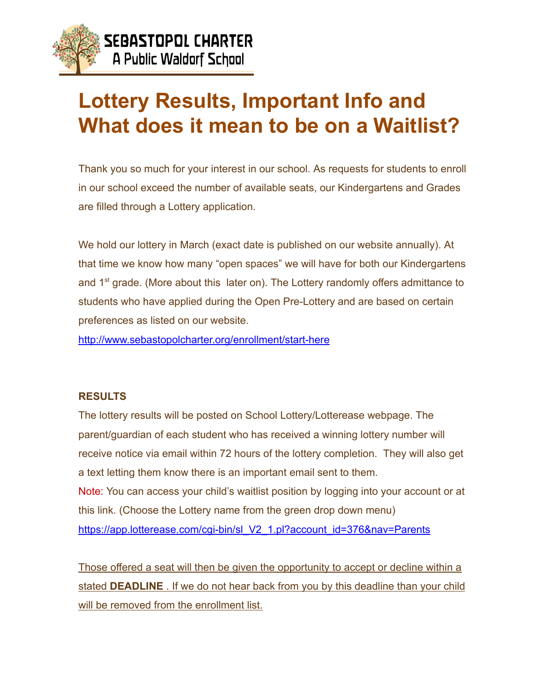

## **Lottery Results, Important Info and What does it mean to be on a Waitlist?**

 Thank you so much for your interest in our school. As requests for students to enroll in our school exceed the number of available seats, our Kindergartens and Grades are filled through a Lottery application.

 We hold our lottery in March (exact date is published on our website annually). At that time we know how many "open spaces" we will have for both our Kindergartens and  $1<sup>st</sup>$  grade. (More about this later on). The Lottery randomly offers admittance to students who have applied during the Open Pre-Lottery and are based on certain preferences as listed on our website.

<http://www.sebastopolcharter.org/enrollment/start-here>

## **RESULTS**

 The lottery results will be posted on School Lottery/Lotterease webpage. The parent/guardian of each student who has received a winning lottery number will receive notice via email within 72 hours of the lottery completion. They will also get a text letting them know there is an important email sent to them. Note: You can access your child's waitlist position by logging into your account or at this link. (Choose the Lottery name from the green drop down menu) https://app.lotterease.com/cgi-bin/sl\_V2\_1.pl?account\_id=376&nav=Parents

 Those offered a seat will then be given the opportunity to accept or decline within a stated **DEADLINE** . If we do not hear back from you by this deadline than your child will be removed from the enrollment list.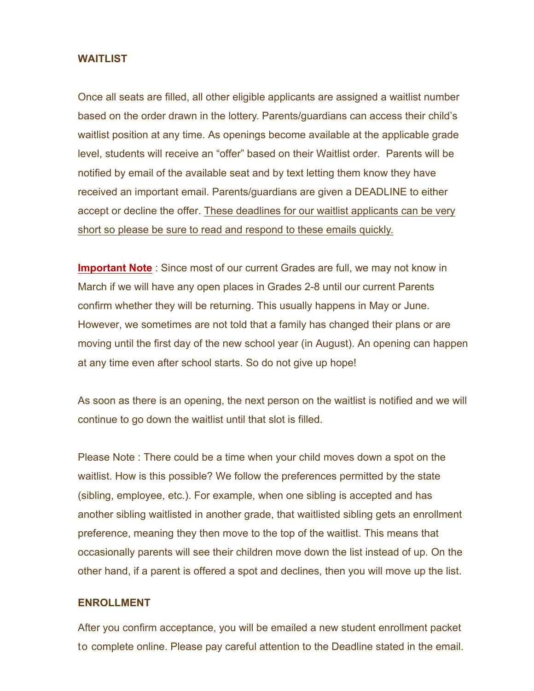## **WAITLIST**

Once all seats are filled, all other eligible applicants are assigned a waitlist number based on the order drawn in the lottery. Parents/guardians can access their child's waitlist position at any time. As openings become available at the applicable grade level, students will receive an "offer" based on their Waitlist order. Parents will be notified by email of the available seat and by text letting them know they have received an important email. Parents/guardians are given a DEADLINE to either accept or decline the offer. These deadlines for our waitlist applicants can be very short so please be sure to read and respond to these emails quickly.

**Important Note** : Since most of our current Grades are full, we may not know in March if we will have any open places in Grades 2-8 until our current Parents confirm whether they will be returning. This usually happens in May or June. However, we sometimes are not told that a family has changed their plans or are moving until the first day of the new school year (in August). An opening can happen at any time even after school starts. So do not give up hope!

As soon as there is an opening, the next person on the waitlist is notified and we will continue to go down the waitlist until that slot is filled.

Please Note : There could be a time when your child moves down a spot on the waitlist. How is this possible? We follow the preferences permitted by the state (sibling, employee, etc.). For example, when one sibling is accepted and has another sibling waitlisted in another grade, that waitlisted sibling gets an enrollment preference, meaning they then move to the top of the waitlist. This means that occasionally parents will see their children move down the list instead of up. On the other hand, if a parent is offered a spot and declines, then you will move up the list.

## **ENROLLMENT**

After you confirm acceptance, you will be emailed a new student enrollment packet to complete online. Please pay careful attention to the Deadline stated in the email.